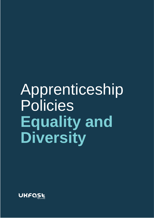# Apprenticeship Policies **Equality and Diversity**

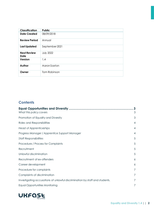| <b>Classification</b>      | <b>Public</b>    |
|----------------------------|------------------|
| <b>Date Created</b>        | 08/09/2018       |
| <b>Review Period</b>       | Annual           |
| <b>Last Updated</b>        | September 2021   |
| <b>Next Review</b><br>Date | <b>July 2022</b> |
| Version                    | 1.4              |
| Author                     | Aaron Saxton     |
| Owner                      | Tom Robinson     |

## **Contents**

|                                                                             | 3              |
|-----------------------------------------------------------------------------|----------------|
| What this policy covers                                                     | 3              |
| Promotion of Equality and Diversity                                         | 3              |
| Roles and Responsibilities                                                  | $\overline{4}$ |
| Head of Apprenticeships                                                     | $\overline{4}$ |
| Progress Manager / Apprentice Support Manager                               | $\overline{4}$ |
| <b>Staff Responsibilities</b>                                               | 5              |
| Procedure / Process for Complaints                                          | 5              |
| Recruitment                                                                 | 5              |
| Unlawful discrimination                                                     | 5              |
| Recruitment of ex-offenders                                                 | 6              |
| Career development                                                          | 6              |
| Procedure for complaints                                                    | 7              |
| Complaints of discrimination                                                |                |
| Investigating accusations of unlawful discrimination by staff and students. |                |
| Equal Opportunities Monitoring                                              | 7              |
|                                                                             |                |

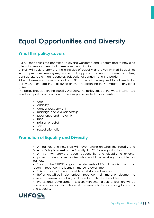## <span id="page-2-0"></span>**Equal Opportunities and Diversity**

## <span id="page-2-1"></span>**What this policy covers**

UKFAST recognises the benefits of a diverse workforce and is committed to providing a learning environment that is free from discrimination.

UKFAST will seek to promote the principles of equality and diversity in all its dealings with apprentices, employees, workers, job applicants, clients, customers, suppliers, contractors, recruitment agencies, educational partners, and the public.

All employees and those who act on UKFast's behalf are required to adhere to this policy when undertaking their duties or when representing the Company in any other guise.

The policy lines up with the Equality Act 2010. The policy sets out the ways in which we look to support induction around the 9 major protected characteristics.

- age
- disability
- gender reassignment
- marriage and civil partnership
- pregnancy and maternity
- race
- religion or belief
- sex
- sexual orientation

## <span id="page-2-2"></span>**Promotion of Equality and Diversity**

• All learners and new staff will have training on what the Equality and Diversity Policy is as well as the Equality Act 2010 during induction.

• All staff will promote equal opportunity and diversity to external employers and/or other parties who would be working alongside our learners.

• Through the PSHCE programme elements of EDI will be discussed and taught throughout the learners time our programme.

- This policy should be accessible to all staff and learners
- Refreshers will be implemented throughout their time of employment to ensure awareness and ability to discuss this with all stakeholders.

• Professional Development sessions with small group of learners will be carried out periodically with specific reference to topics relating to Equality and Diversity.

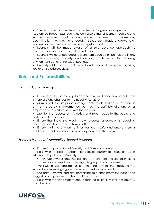• The structure of the team includes a Progress Manager and an Apprentice Support Manager who can ensure that all learners feel safe and will be available to talk to any learner who needs to discuss any discrimination they may have faced. This structure is made available to all learners, so they are aware of where to get support.

Learners will be made aware of a zero-tolerance approach to discrimination from day one in their induction.

Learners will be encouraged to learn from each other, participate in any activities involving equality and diversity, both within the learning environment but also the wider business.

• Diversity will be actively celebrated and endorsed through recognising key events / religious days.

## <span id="page-3-0"></span>**Roles and Responsibilities**

#### <span id="page-3-1"></span>*Head of Apprenticeships*

• Ensure that the policy is updated and reviewed once a year, or before if there are any changes to the Equality Act 2010

• Make sure there are proper arrangements made that ensure awareness of the this policy is implemented both by the staff but also any other employee who works closely with the learners

• Monitor the success of this policy and report back to the board and trustees of the provider.

• Ensure that there is a widely known process for complaints regarding discrimination that can be followed effectively.

• Ensure that the environment for learners is safe and ensure there is confidence that a learner can raise any concerns they have.

## <span id="page-3-2"></span>*Progress Manager / Apprentice Support Manager*

- Ensure that promotion of Equality and Diversity amongst staff
- Liaise with the Head of Apprenticeships to regularly to discuss any issues relating to Equality and Diversity
- Contribute towards ensuring learners feel confident and secure in raising any issues or concerns they have regarding equality and diversity
- Work with all staff and learners to ensure that any training needs are met where their knowledge gaps and where a refresher is needed
- Use data, reviews, and any complaints to further inform this policy and suggest any improvements that could be made.
- Liaise with teaching staff to ensure that the curriculum includes equality and diversity

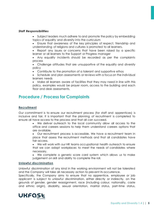#### <span id="page-4-0"></span>*Staff Responsibilities*

Subject leaders much adhere to and promote the policy by embedding topics of equality and diversity into the curriculum

• Ensure that awareness of the key principles of respect, friendship and understanding of religions and cultures is promoted to all learners.

• Report any issues or concerns that have been raised by a specific learner or all learners to the Support or Progress manager

• Any equality incidents should be recorded as per the complaints process

• Challenge attitudes that are unsupportive of the equality and diversity policy

- Contribute to the promotion of a tolerant and supportive ethos
- Schedule and plan assessments or reviews with a focus on the individual learners needs

• Make all learners aware of facilities that they may need in line with this policy, examples would be prayer room, access to the building and each floor and desk assessments.

## <span id="page-4-1"></span>**Procedure / Process for Complaints**

#### <span id="page-4-2"></span>**Recruitment**

Our commitment is to ensure our recruitment process (for staff and apprentices) is inclusive and fair. It is important that the planning of recruitment is completed to ensure all have access to the process and that all can succeed.

> • We deliver outreach to the local community allow all access to the office and careers sessions to help them understand careers options that are available.

> • Our recruitment process is accessible. We have a recruitment team in place that assess the recruitment methods and that all candidates have fair access.

> • We will work with our HR teams occupational health outreach to ensure that we can adapt workplaces to meet the needs of candidates where necessary.

> We complete a generic score card system which allows us to make judgement on skill and ability to complete the roll.

#### <span id="page-4-3"></span>**Unlawful discrimination**

Unlawful discrimination of any kind in the working environment will not be tolerated and the Company will take all necessary action to prevent its occurrence.

Specifically, the Company aims to ensure that no apprentice, employee or job applicant is subject to unlawful discrimination, either directly or indirectly, on the grounds of gender, gender reassignment, race (including colour, nationality, caste and ethnic origin), disability, sexual orientation, marital status, part-time status,

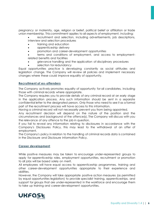pregnancy or maternity, age, religion or belief, political belief or affiliation or trade union membership. This commitment applies to all aspects of employment, including:

• recruitment and selection, including advertisements, job descriptions, interview and selection procedures

- training and education
- apprenticeship delivery
- promotion and career-development opportunities

• terms and conditions of employment, and access to employmentrelated benefits and facilities

- grievance handling and the application of disciplinary procedures
- selection for redundancy

Equal opportunities practice is developing constantly as social attitudes and legislation change. The Company will review all policies and implement necessary changes where these could improve equality of opportunity.

#### <span id="page-5-0"></span>**Recruitment of ex-offenders**

The Company actively promotes equality of opportunity for all candidates, including those with criminal records where appropriate.

The Company requires you to provide details of any criminal record at an early stage in the application process. Any such information should be sent in a separate confidential letter to the designated person. Only those who need to see it as a formal part of the recruitment process will have access to this information.

Having a criminal record will not necessarily prevent you from being appointed.

Any recruitment decision will depend on the nature of the position and the circumstances and background of the offence(s). The Company will discuss with you the relevance of any offence to the job in question.

If you fail to reveal any information relating to disclosures in accordance with the Company's Disclosures Policy, this may lead to the withdrawal of an offer of employment.

The Company's policy in relation to the handling of criminal records data is contained in the Disclosure and Disclosure Information Policy.

#### <span id="page-5-1"></span>**Career development**

While positive measures may be taken to encourage under-represented groups to apply for apprenticeship roles, employment opportunities, recruitment or promotion to all jobs will be based solely on merit.

All employees will have equal access to apprenticeship programmes, training and other career-development opportunities appropriate to their experience and abilities.

However, the Company will take appropriate positive action measures (as permitted by equal opportunities legislation) to provide specialist training, apprenticeships, and support for groups that are under-represented in the workforce and encourage them to take up training and career-development opportunities.